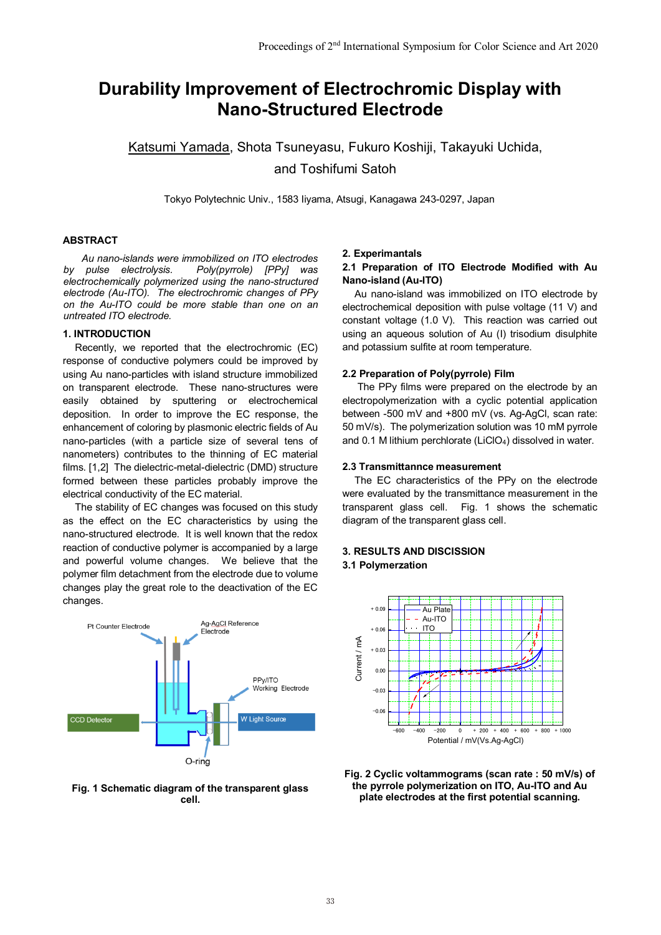# **Durability Improvement of Electrochromic Display with Nano-Structured Electrode**

Katsumi Yamada, Shota Tsuneyasu, Fukuro Koshiji, Takayuki Uchida, and Toshifumi Satoh

Tokyo Polytechnic Univ., 1583 Iiyama, Atsugi, Kanagawa 243-0297, Japan

## **ABSTRACT**

 *Au nano-islands were immobilized on ITO electrodes by pulse electrolysis. Poly(pyrrole) [PPy] was electrochemically polymerized using the nano-structured electrode (Au-ITO). The electrochromic changes of PPy on the Au-ITO could be more stable than one on an untreated ITO electrode.*

# **1. INTRODUCTION**

Recently, we reported that the electrochromic (EC) response of conductive polymers could be improved by using Au nano-particles with island structure immobilized on transparent electrode. These nano-structures were easily obtained by sputtering or electrochemical deposition. In order to improve the EC response, the enhancement of coloring by plasmonic electric fields of Au nano-particles (with a particle size of several tens of nanometers) contributes to the thinning of EC material films. [1,2] The dielectric-metal-dielectric (DMD) structure formed between these particles probably improve the electrical conductivity of the EC material.

The stability of EC changes was focused on this study as the effect on the EC characteristics by using the nano-structured electrode. It is well known that the redox reaction of conductive polymer is accompanied by a large and powerful volume changes. We believe that the polymer film detachment from the electrode due to volume changes play the great role to the deactivation of the EC changes.



#### **Fig. 1 Schematic diagram of the transparent glass cell.**

## **2. Experimantals**

# **2.1 Preparation of ITO Electrode Modified with Au Nano-island (Au-ITO)**

Au nano-island was immobilized on ITO electrode by electrochemical deposition with pulse voltage (11 V) and constant voltage (1.0 V). This reaction was carried out using an aqueous solution of Au (I) trisodium disulphite and potassium sulfite at room temperature.

## **2.2 Preparation of Poly(pyrrole) Film**

The PPy films were prepared on the electrode by an electropolymerization with a cyclic potential application between -500 mV and +800 mV (vs. Ag-AgCl, scan rate: 50 mV/s). The polymerization solution was 10 mM pyrrole and  $0.1$  M lithium perchlorate (LiClO<sub>4</sub>) dissolved in water.

#### **2.3 Transmittannce measurement**

The EC characteristics of the PPy on the electrode were evaluated by the transmittance measurement in the transparent glass cell. Fig. 1 shows the schematic diagram of the transparent glass cell.

# **3. RESULTS AND DISCISSION 3.1 Polymerzation**



**Fig. 2 Cyclic voltammograms (scan rate : 50 mV/s) of the pyrrole polymerization on ITO, Au-ITO and Au plate electrodes at the first potential scanning.**